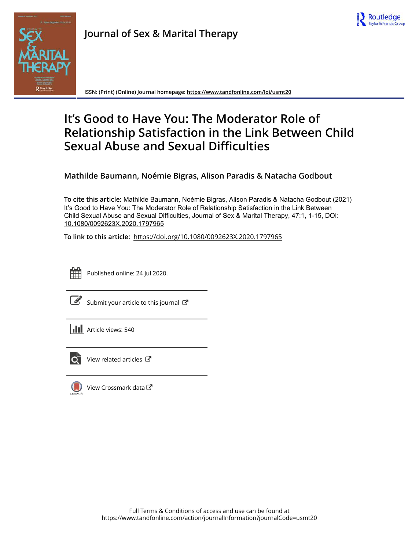



**Journal of Sex & Marital Therapy**

**ISSN: (Print) (Online) Journal homepage:<https://www.tandfonline.com/loi/usmt20>**

# **It's Good to Have You: The Moderator Role of Relationship Satisfaction in the Link Between Child Sexual Abuse and Sexual Difficulties**

**Mathilde Baumann, Noémie Bigras, Alison Paradis & Natacha Godbout**

**To cite this article:** Mathilde Baumann, Noémie Bigras, Alison Paradis & Natacha Godbout (2021) It's Good to Have You: The Moderator Role of Relationship Satisfaction in the Link Between Child Sexual Abuse and Sexual Difficulties, Journal of Sex & Marital Therapy, 47:1, 1-15, DOI: [10.1080/0092623X.2020.1797965](https://www.tandfonline.com/action/showCitFormats?doi=10.1080/0092623X.2020.1797965)

**To link to this article:** <https://doi.org/10.1080/0092623X.2020.1797965>



Published online: 24 Jul 2020.

[Submit your article to this journal](https://www.tandfonline.com/action/authorSubmission?journalCode=usmt20&show=instructions)  $\mathbb{Z}$ 





 $\overrightarrow{Q}$  [View related articles](https://www.tandfonline.com/doi/mlt/10.1080/0092623X.2020.1797965)  $\overrightarrow{C}$ 



[View Crossmark data](http://crossmark.crossref.org/dialog/?doi=10.1080/0092623X.2020.1797965&domain=pdf&date_stamp=2020-07-24)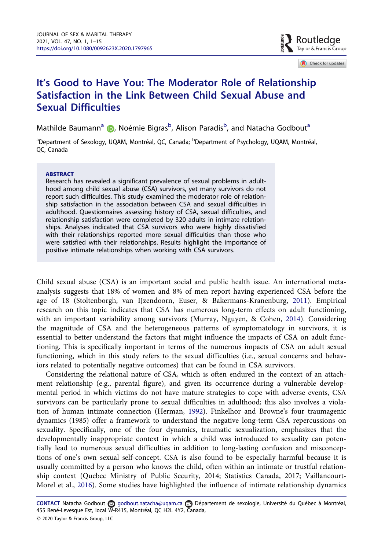

Check for updates

# <span id="page-1-0"></span>It's Good to Have You: The Moderator Role of Relationship Satisfaction in the Link Between Child Sexual Abuse and Sexual Difficulties

Mathilde Baumann<sup>a</sup> (D[,](http://orcid.org/0000-0001-9034-770X) Noémie Bigras<sup>b</sup>, Alison Paradis<sup>b</sup>, and Natacha Godbout<sup>a</sup>

<sup>a</sup>Department of Sexology, UQAM, Montréal, QC, Canada; <sup>b</sup>Department of Psychology, UQAM, Montréal, QC, Canada

#### **ARSTRACT**

Research has revealed a significant prevalence of sexual problems in adulthood among child sexual abuse (CSA) survivors, yet many survivors do not report such difficulties. This study examined the moderator role of relationship satisfaction in the association between CSA and sexual difficulties in adulthood. Questionnaires assessing history of CSA, sexual difficulties, and relationship satisfaction were completed by 320 adults in intimate relationships. Analyses indicated that CSA survivors who were highly dissatisfied with their relationships reported more sexual difficulties than those who were satisfied with their relationships. Results highlight the importance of positive intimate relationships when working with CSA survivors.

Child sexual abuse (CSA) is an important social and public health issue. An international metaanalysis suggests that 18% of women and 8% of men report having experienced CSA before the age of 18 (Stoltenborgh, van IJzendoorn, Euser, & Bakermans-Kranenburg, [2011](#page-14-0)). Empirical research on this topic indicates that CSA has numerous long-term effects on adult functioning, with an important variability among survivors (Murray, Nguyen, & Cohen, [2014](#page-14-0)). Considering the magnitude of CSA and the heterogeneous patterns of symptomatology in survivors, it is essential to better understand the factors that might influence the impacts of CSA on adult functioning. This is specifically important in terms of the numerous impacts of CSA on adult sexual functioning, which in this study refers to the sexual difficulties (i.e., sexual concerns and behaviors related to potentially negative outcomes) that can be found in CSA survivors.

Considering the relational nature of CSA, which is often endured in the context of an attachment relationship (e.g., parental figure), and given its occurrence during a vulnerable developmental period in which victims do not have mature strategies to cope with adverse events, CSA survivors can be particularly prone to sexual difficulties in adulthood; this also involves a violation of human intimate connection (Herman, [1992\)](#page-13-0). Finkelhor and Browne's four traumagenic dynamics (1985) offer a framework to understand the negative long-term CSA repercussions on sexuality. Specifically, one of the four dynamics, traumatic sexualization, emphasizes that the developmentally inappropriate context in which a child was introduced to sexuality can potentially lead to numerous sexual difficulties in addition to long-lasting confusion and misconceptions of one's own sexual self-concept. CSA is also found to be especially harmful because it is usually committed by a person who knows the child, often within an intimate or trustful relationship context (Quebec Ministry of Public Security, 2014; Statistics Canada, 2017; Vaillancourt-Morel et al., [2016\)](#page-14-0). Some studies have highlighted the influence of intimate relationship dynamics

CONTACT Natacha Godbout a godbout.natacha@uqam.ca Departement de sexologie, Université du Québec à Montréal, 455 René-Levesque Est, local W-R415, Montréal, QC H2L 4Y2, Canada,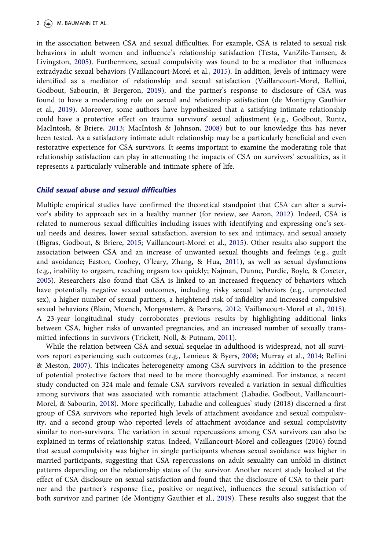#### <span id="page-2-0"></span>2  $\left(\frac{1}{2}\right)$  M. BAUMANN ET AL.

in the association between CSA and sexual difficulties. For example, CSA is related to sexual risk behaviors in adult women and influence's relationship satisfaction (Testa, VanZile-Tamsen, & Livingston, [2005](#page-14-0)). Furthermore, sexual compulsivity was found to be a mediator that influences extradyadic sexual behaviors (Vaillancourt-Morel et al., [2015](#page-15-0)). In addition, levels of intimacy were identified as a mediator of relationship and sexual satisfaction (Vaillancourt-Morel, Rellini, Godbout, Sabourin, & Bergeron, [2019\)](#page-14-0), and the partner's response to disclosure of CSA was found to have a moderating role on sexual and relationship satisfaction (de Montigny Gauthier et al., [2019](#page-13-0)). Moreover, some authors have hypothesized that a satisfying intimate relationship could have a protective effect on trauma survivors' sexual adjustment (e.g., Godbout, Runtz, MacIntosh, & Briere, [2013;](#page-13-0) MacIntosh & Johnson, [2008](#page-13-0)) but to our knowledge this has never been tested. As a satisfactory intimate adult relationship may be a particularly beneficial and even restorative experience for CSA survivors. It seems important to examine the moderating role that relationship satisfaction can play in attenuating the impacts of CSA on survivors' sexualities, as it represents a particularly vulnerable and intimate sphere of life.

#### Child sexual abuse and sexual difficulties

Multiple empirical studies have confirmed the theoretical standpoint that CSA can alter a survivor's ability to approach sex in a healthy manner (for review, see Aaron, [2012](#page-12-0)). Indeed, CSA is related to numerous sexual difficulties including issues with identifying and expressing one's sexual needs and desires, lower sexual satisfaction, aversion to sex and intimacy, and sexual anxiety (Bigras, Godbout, & Briere, [2015](#page-12-0); Vaillancourt-Morel et al., [2015](#page-15-0)). Other results also support the association between CSA and an increase of unwanted sexual thoughts and feelings (e.g., guilt and avoidance; Easton, Coohey, O'leary, Zhang, & Hua, [2011](#page-13-0)), as well as sexual dysfunctions (e.g., inability to orgasm, reaching orgasm too quickly; Najman, Dunne, Purdie, Boyle, & Coxeter, [2005](#page-14-0)). Researchers also found that CSA is linked to an increased frequency of behaviors which have potentially negative sexual outcomes, including risky sexual behaviors (e.g., unprotected sex), a higher number of sexual partners, a heightened risk of infidelity and increased compulsive sexual behaviors (Blain, Muench, Morgenstern, & Parsons, [2012](#page-13-0); Vaillancourt-Morel et al., [2015\)](#page-15-0). A 23-year longitudinal study corroborates previous results by highlighting additional links between CSA, higher risks of unwanted pregnancies, and an increased number of sexually transmitted infections in survivors (Trickett, Noll, & Putnam, [2011](#page-14-0)).

While the relation between CSA and sexual sequelae in adulthood is widespread, not all survivors report experiencing such outcomes (e.g., Lemieux & Byers, [2008;](#page-13-0) Murray et al., [2014](#page-14-0); Rellini & Meston, [2007\)](#page-14-0). This indicates heterogeneity among CSA survivors in addition to the presence of potential protective factors that need to be more thoroughly examined. For instance, a recent study conducted on 324 male and female CSA survivors revealed a variation in sexual difficulties among survivors that was associated with romantic attachment (Labadie, Godbout, Vaillancourt-Morel, & Sabourin, [2018](#page-13-0)). More specifically, Labadie and colleagues' study (2018) discerned a first group of CSA survivors who reported high levels of attachment avoidance and sexual compulsivity, and a second group who reported levels of attachment avoidance and sexual compulsivity similar to non-survivors. The variation in sexual repercussions among CSA survivors can also be explained in terms of relationship status. Indeed, Vaillancourt-Morel and colleagues (2016) found that sexual compulsivity was higher in single participants whereas sexual avoidance was higher in married participants, suggesting that CSA repercussions on adult sexuality can unfold in distinct patterns depending on the relationship status of the survivor. Another recent study looked at the effect of CSA disclosure on sexual satisfaction and found that the disclosure of CSA to their partner and the partner's response (i.e., positive or negative), influences the sexual satisfaction of both survivor and partner (de Montigny Gauthier et al., [2019](#page-13-0)). These results also suggest that the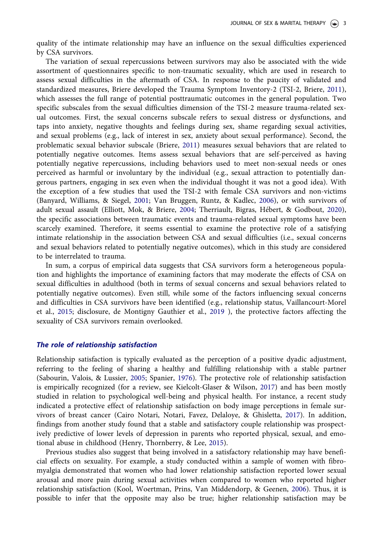<span id="page-3-0"></span>quality of the intimate relationship may have an influence on the sexual difficulties experienced by CSA survivors.

The variation of sexual repercussions between survivors may also be associated with the wide assortment of questionnaires specific to non-traumatic sexuality, which are used in research to assess sexual difficulties in the aftermath of CSA. In response to the paucity of validated and standardized measures, Briere developed the Trauma Symptom Inventory-2 (TSI-2, Briere, [2011\)](#page-13-0), which assesses the full range of potential posttraumatic outcomes in the general population. Two specific subscales from the sexual difficulties dimension of the TSI-2 measure trauma-related sexual outcomes. First, the sexual concerns subscale refers to sexual distress or dysfunctions, and taps into anxiety, negative thoughts and feelings during sex, shame regarding sexual activities, and sexual problems (e.g., lack of interest in sex, anxiety about sexual performance). Second, the problematic sexual behavior subscale (Briere, [2011](#page-13-0)) measures sexual behaviors that are related to potentially negative outcomes. Items assess sexual behaviors that are self-perceived as having potentially negative repercussions, including behaviors used to meet non-sexual needs or ones perceived as harmful or involuntary by the individual (e.g., sexual attraction to potentially dangerous partners, engaging in sex even when the individual thought it was not a good idea). With the exception of a few studies that used the TSI-2 with female CSA survivors and non-victims (Banyard, Williams, & Siegel, [2001;](#page-12-0) Van Bruggen, Runtz, & Kadlec, [2006\)](#page-15-0), or with survivors of adult sexual assault (Elliott, Mok, & Briere, [2004](#page-13-0); Therriault, Bigras, Hebert, & Godbout, [2020\)](#page-14-0), the specific associations between traumatic events and trauma-related sexual symptoms have been scarcely examined. Therefore, it seems essential to examine the protective role of a satisfying intimate relationship in the association between CSA and sexual difficulties (i.e., sexual concerns and sexual behaviors related to potentially negative outcomes), which in this study are considered to be interrelated to trauma.

In sum, a corpus of empirical data suggests that CSA survivors form a heterogeneous population and highlights the importance of examining factors that may moderate the effects of CSA on sexual difficulties in adulthood (both in terms of sexual concerns and sexual behaviors related to potentially negative outcomes). Even still, while some of the factors influencing sexual concerns and difficulties in CSA survivors have been identified (e.g., relationship status, Vaillancourt-Morel et al., [2015;](#page-15-0) disclosure, de Montigny Gauthier et al., [2019](#page-13-0) ), the protective factors affecting the sexuality of CSA survivors remain overlooked.

#### The role of relationship satisfaction

Relationship satisfaction is typically evaluated as the perception of a positive dyadic adjustment, referring to the feeling of sharing a healthy and fulfilling relationship with a stable partner (Sabourin, Valois, & Lussier, [2005](#page-14-0); Spanier, [1976\)](#page-14-0). The protective role of relationship satisfaction is empirically recognized (for a review, see Kielcolt-Glaser & Wilson, [2017\)](#page-13-0) and has been mostly studied in relation to psychological well-being and physical health. For instance, a recent study indicated a protective effect of relationship satisfaction on body image perceptions in female survivors of breast cancer (Cairo Notari, Notari, Favez, Delaloye, & Ghisletta, [2017\)](#page-13-0). In addition, findings from another study found that a stable and satisfactory couple relationship was prospectively predictive of lower levels of depression in parents who reported physical, sexual, and emotional abuse in childhood (Henry, Thornberry, & Lee, [2015\)](#page-13-0).

Previous studies also suggest that being involved in a satisfactory relationship may have beneficial effects on sexuality. For example, a study conducted within a sample of women with fibromyalgia demonstrated that women who had lower relationship satisfaction reported lower sexual arousal and more pain during sexual activities when compared to women who reported higher relationship satisfaction (Kool, Woertman, Prins, Van Middendorp, & Geenen, [2006\)](#page-13-0). Thus, it is possible to infer that the opposite may also be true; higher relationship satisfaction may be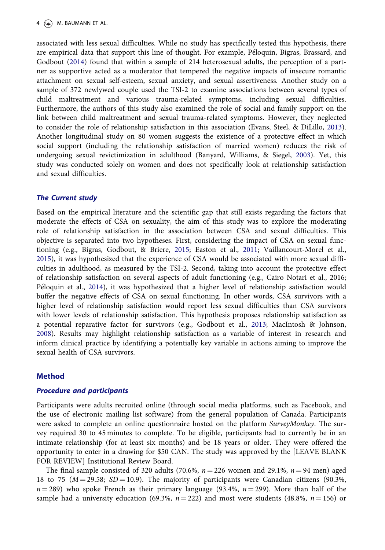<span id="page-4-0"></span>associated with less sexual difficulties. While no study has specifically tested this hypothesis, there are empirical data that support this line of thought. For example, Peloquin, Bigras, Brassard, and Godbout [\(2014](#page-14-0)) found that within a sample of 214 heterosexual adults, the perception of a partner as supportive acted as a moderator that tempered the negative impacts of insecure romantic attachment on sexual self-esteem, sexual anxiety, and sexual assertiveness. Another study on a sample of 372 newlywed couple used the TSI-2 to examine associations between several types of child maltreatment and various trauma-related symptoms, including sexual difficulties. Furthermore, the authors of this study also examined the role of social and family support on the link between child maltreatment and sexual trauma-related symptoms. However, they neglected to consider the role of relationship satisfaction in this association (Evans, Steel, & DiLillo, [2013\)](#page-13-0). Another longitudinal study on 80 women suggests the existence of a protective effect in which social support (including the relationship satisfaction of married women) reduces the risk of undergoing sexual revictimization in adulthood (Banyard, Williams, & Siegel, [2003](#page-12-0)). Yet, this study was conducted solely on women and does not specifically look at relationship satisfaction and sexual difficulties.

# The Current study

Based on the empirical literature and the scientific gap that still exists regarding the factors that moderate the effects of CSA on sexuality, the aim of this study was to explore the moderating role of relationship satisfaction in the association between CSA and sexual difficulties. This objective is separated into two hypotheses. First, considering the impact of CSA on sexual functioning (e.g., Bigras, Godbout, & Briere, [2015;](#page-12-0) Easton et al., [2011](#page-13-0); Vaillancourt-Morel et al., [2015](#page-15-0)), it was hypothesized that the experience of CSA would be associated with more sexual difficulties in adulthood, as measured by the TSI-2. Second, taking into account the protective effect of relationship satisfaction on several aspects of adult functioning (e.g., Cairo Notari et al., 2016; Peloquin et al., [2014\)](#page-14-0), it was hypothesized that a higher level of relationship satisfaction would buffer the negative effects of CSA on sexual functioning. In other words, CSA survivors with a higher level of relationship satisfaction would report less sexual difficulties than CSA survivors with lower levels of relationship satisfaction. This hypothesis proposes relationship satisfaction as a potential reparative factor for survivors (e.g., Godbout et al., [2013](#page-13-0); MacIntosh & Johnson, [2008](#page-13-0)). Results may highlight relationship satisfaction as a variable of interest in research and inform clinical practice by identifying a potentially key variable in actions aiming to improve the sexual health of CSA survivors.

# Method

#### Procedure and participants

Participants were adults recruited online (through social media platforms, such as Facebook, and the use of electronic mailing list software) from the general population of Canada. Participants were asked to complete an online questionnaire hosted on the platform *SurveyMonkey*. The survey required 30 to 45 minutes to complete. To be eligible, participants had to currently be in an intimate relationship (for at least six months) and be 18 years or older. They were offered the opportunity to enter in a drawing for \$50 CAN. The study was approved by the [LEAVE BLANK FOR REVIEW] Institutional Review Board.

The final sample consisted of 320 adults (70.6%,  $n = 226$  women and 29.1%,  $n = 94$  men) aged 18 to 75 ( $M = 29.58$ ;  $SD = 10.9$ ). The majority of participants were Canadian citizens (90.3%,  $n = 289$ ) who spoke French as their primary language (93.4%,  $n = 299$ ). More than half of the sample had a university education (69.3%,  $n = 222$ ) and most were students (48.8%,  $n = 156$ ) or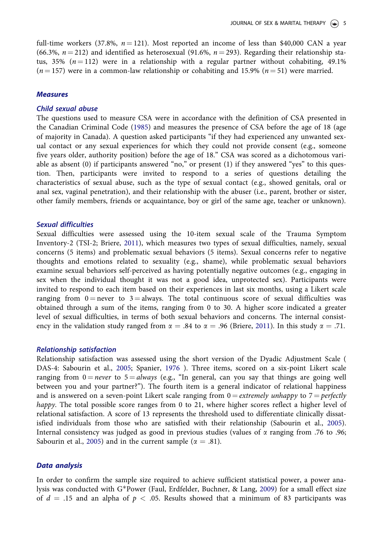<span id="page-5-0"></span>full-time workers (37.8%,  $n = 121$ ). Most reported an income of less than \$40,000 CAN a year (66.3%,  $n = 212$ ) and identified as heterosexual (91.6%,  $n = 293$ ). Regarding their relationship status, 35%  $(n = 112)$  were in a relationship with a regular partner without cohabiting, 49.1%  $(n = 157)$  were in a common-law relationship or cohabiting and 15.9%  $(n = 51)$  were married.

#### Measures

#### Child sexual abuse

The questions used to measure CSA were in accordance with the definition of CSA presented in the Canadian Criminal Code ([1985\)](#page-13-0) and measures the presence of CSA before the age of 18 (age of majority in Canada). A question asked participants "if they had experienced any unwanted sexual contact or any sexual experiences for which they could not provide consent (e.g., someone five years older, authority position) before the age of 18." CSA was scored as a dichotomous variable as absent (0) if participants answered "no," or present (1) if they answered "yes" to this question. Then, participants were invited to respond to a series of questions detailing the characteristics of sexual abuse, such as the type of sexual contact (e.g., showed genitals, oral or anal sex, vaginal penetration), and their relationship with the abuser (i.e., parent, brother or sister, other family members, friends or acquaintance, boy or girl of the same age, teacher or unknown).

#### Sexual difficulties

Sexual difficulties were assessed using the 10-item sexual scale of the Trauma Symptom Inventory-2 (TSI-2; Briere, [2011\)](#page-13-0), which measures two types of sexual difficulties, namely, sexual concerns (5 items) and problematic sexual behaviors (5 items). Sexual concerns refer to negative thoughts and emotions related to sexuality (e.g., shame), while problematic sexual behaviors examine sexual behaviors self-perceived as having potentially negative outcomes (e.g., engaging in sex when the individual thought it was not a good idea, unprotected sex). Participants were invited to respond to each item based on their experiences in last six months, using a Likert scale ranging from  $0 =$  never to  $3 =$  always. The total continuous score of sexual difficulties was obtained through a sum of the items, ranging from 0 to 30. A higher score indicated a greater level of sexual difficulties, in terms of both sexual behaviors and concerns. The internal consistency in the validation study ranged from  $\alpha = .84$  to  $\alpha = .96$  (Briere, [2011\)](#page-13-0). In this study  $\alpha = .71$ .

#### Relationship satisfaction

Relationship satisfaction was assessed using the short version of the Dyadic Adjustment Scale ( DAS-4: Sabourin et al., [2005](#page-14-0); Spanier, [1976](#page-14-0) ). Three items, scored on a six-point Likert scale ranging from  $0 =$  never to  $5 =$  always (e.g., "In general, can you say that things are going well between you and your partner?"). The fourth item is a general indicator of relational happiness and is answered on a seven-point Likert scale ranging from  $0 =$  *extremely unhappy* to  $7 =$  *perfectly* happy. The total possible score ranges from 0 to 21, where higher scores reflect a higher level of relational satisfaction. A score of 13 represents the threshold used to differentiate clinically dissatisfied individuals from those who are satisfied with their relationship (Sabourin et al., [2005\)](#page-14-0). Internal consistency was judged as good in previous studies (values of  $\alpha$  ranging from .76 to .96; Sabourin et al., [2005](#page-14-0)) and in the current sample ( $\alpha = .81$ ).

#### Data analysis

In order to confirm the sample size required to achieve sufficient statistical power, a power ana-lysis was conducted with G\*Power (Faul, Erdfelder, Buchner, & Lang, [2009](#page-13-0)) for a small effect size of  $d = .15$  and an alpha of  $p < .05$ . Results showed that a minimum of 83 participants was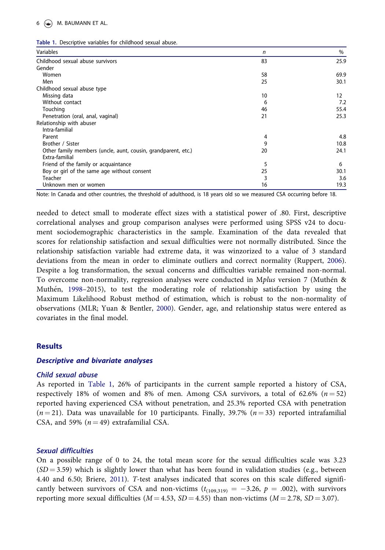#### <span id="page-6-0"></span> $6 \leftrightarrow M$ . BAUMANN ET AL.

|   | Table 1. Descriptive variables for childhood sexual abuse. |  |  |  |
|---|------------------------------------------------------------|--|--|--|
| . |                                                            |  |  |  |

| Variables                                                     | n  | %    |
|---------------------------------------------------------------|----|------|
| Childhood sexual abuse survivors                              | 83 | 25.9 |
| Gender                                                        |    |      |
| Women                                                         | 58 | 69.9 |
| Men                                                           | 25 | 30.1 |
| Childhood sexual abuse type                                   |    |      |
| Missing data                                                  | 10 | 12   |
| Without contact                                               | 6  | 7.2  |
| Touching                                                      | 46 | 55.4 |
| Penetration (oral, anal, vaginal)                             | 21 | 25.3 |
| Relationship with abuser                                      |    |      |
| Intra-familial                                                |    |      |
| Parent                                                        | 4  | 4.8  |
| Brother / Sister                                              | 9  | 10.8 |
| Other family members (uncle, aunt, cousin, grandparent, etc.) | 20 | 24.1 |
| Extra-familial                                                |    |      |
| Friend of the family or acquaintance                          | 5  | 6    |
| Boy or girl of the same age without consent                   | 25 | 30.1 |
| Teacher                                                       | 3  | 3.6  |
| Unknown men or women                                          | 16 | 19.3 |

Note: In Canada and other countries, the threshold of adulthood, is 18 years old so we measured CSA occurring before 18.

needed to detect small to moderate effect sizes with a statistical power of .80. First, descriptive correlational analyses and group comparison analyses were performed using SPSS v24 to document sociodemographic characteristics in the sample. Examination of the data revealed that scores for relationship satisfaction and sexual difficulties were not normally distributed. Since the relationship satisfaction variable had extreme data, it was winzorized to a value of 3 standard deviations from the mean in order to eliminate outliers and correct normality (Ruppert, [2006\)](#page-14-0). Despite a log transformation, the sexual concerns and difficulties variable remained non-normal. To overcome non-normality, regression analyses were conducted in Mplus version 7 (Muthén & Muthen, [1998](#page-14-0)–2015), to test the moderating role of relationship satisfaction by using the Maximum Likelihood Robust method of estimation, which is robust to the non-normality of observations (MLR; Yuan & Bentler, [2000\)](#page-15-0). Gender, age, and relationship status were entered as covariates in the final model.

#### **Results**

#### Descriptive and bivariate analyses

#### Child sexual abuse

As reported in Table 1, 26% of participants in the current sample reported a history of CSA, respectively 18% of women and 8% of men. Among CSA survivors, a total of 62.6%  $(n = 52)$ reported having experienced CSA without penetration, and 25.3% reported CSA with penetration  $(n = 21)$ . Data was unavailable for 10 participants. Finally, 39.7%  $(n = 33)$  reported intrafamilial CSA, and 59%  $(n = 49)$  extrafamilial CSA.

#### Sexual difficulties

On a possible range of 0 to 24, the total mean score for the sexual difficulties scale was 3.23  $(SD = 3.59)$  which is slightly lower than what has been found in validation studies (e.g., between 4.40 and 6.50; Briere, [2011\)](#page-13-0). T-test analyses indicated that scores on this scale differed significantly between survivors of CSA and non-victims  $(t_{(109,319)} = -3.26, p = .002)$ , with survivors reporting more sexual difficulties ( $M = 4.53$ ,  $SD = 4.55$ ) than non-victims ( $M = 2.78$ ,  $SD = 3.07$ ).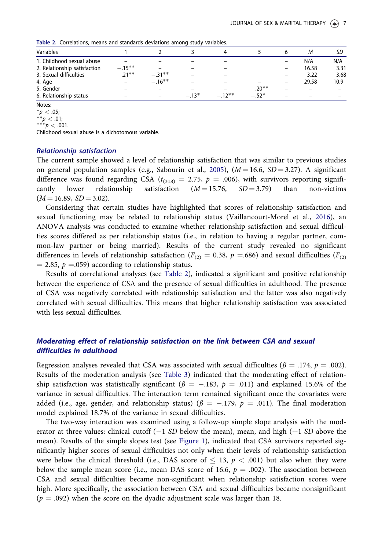–– –

–– –

 $.20**$ 

 $-.52*$ 

| <b>Table 2.</b> Correlations, ineally and standards deviations among study variables. |           |           |  |  |       |      |
|---------------------------------------------------------------------------------------|-----------|-----------|--|--|-------|------|
| <b>Variables</b>                                                                      |           |           |  |  |       |      |
| 1. Childhood sexual abuse                                                             |           |           |  |  | N/A   | N/A  |
| 2. Relationship satisfaction                                                          | $-.15***$ |           |  |  | 16.58 | 3.31 |
| 3. Sexual difficulties                                                                | $71**$    | $-31**$   |  |  | 3.22  | 3.68 |
| 4. Age                                                                                |           | $-.16***$ |  |  | 29.58 | 10.9 |

5. Gender – – – – – – – – 20<sup>\*</sup>

Table 2. Correlations, means and standards deviations among study variables.

Notes:

 $^{\ast}p<$  .05;

 $^{\ast\ast}$ p  $<$  .01;  $^{***}p < .001.$ 

Childhood sexual abuse is a dichotomous variable.

4. Age –  $-16^*$ 

6. Relationship status  $-13^*$ 

#### Relationship satisfaction

The current sample showed a level of relationship satisfaction that was similar to previous studies on general population samples (e.g., Sabourin et al., [2005](#page-14-0)),  $(M = 16.6, SD = 3.27)$ . A significant difference was found regarding CSA ( $t_{(318)} = 2.75$ ,  $p = .006$ ), with survivors reporting significantly lower relationship satisfaction ( $M = 15.76$ ,  $SD = 3.79$ ) than non-victims cantly lower relationship satisfaction  $(M = 15.76, SD = 3.79)$  than non-victims  $(M = 16.89, SD = 3.02).$ 

\*  $-.12**$ 

Considering that certain studies have highlighted that scores of relationship satisfaction and sexual functioning may be related to relationship status (Vaillancourt-Morel et al., [2016](#page-14-0)), an ANOVA analysis was conducted to examine whether relationship satisfaction and sexual difficulties scores differed as per relationship status (i.e., in relation to having a regular partner, common-law partner or being married). Results of the current study revealed no significant differences in levels of relationship satisfaction ( $F_{(2)} = 0.38$ ,  $p = .686$ ) and sexual difficulties ( $F_{(2)}$ )  $= 2.85, p = .059$  according to relationship status.

Results of correlational analyses (see Table 2), indicated a significant and positive relationship between the experience of CSA and the presence of sexual difficulties in adulthood. The presence of CSA was negatively correlated with relationship satisfaction and the latter was also negatively correlated with sexual difficulties. This means that higher relationship satisfaction was associated with less sexual difficulties.

# Moderating effect of relationship satisfaction on the link between CSA and sexual difficulties in adulthood

Regression analyses revealed that CSA was associated with sexual difficulties ( $\beta = .174$ ,  $p = .002$ ). Results of the moderation analysis (see [Table 3\)](#page-8-0) indicated that the moderating effect of relationship satisfaction was statistically significant ( $\beta = -.183$ ,  $p = .011$ ) and explained 15.6% of the variance in sexual difficulties. The interaction term remained significant once the covariates were added (i.e., age, gender, and relationship status) ( $\beta = -.179$ ,  $p = .011$ ). The final moderation model explained 18.7% of the variance in sexual difficulties.

The two-way interaction was examined using a follow-up simple slope analysis with the moderator at three values: clinical cutoff  $(-1 S_D)$  below the mean), mean, and high  $(+1 S_D)$  above the mean). Results of the simple slopes test (see [Figure 1\)](#page-8-0), indicated that CSA survivors reported significantly higher scores of sexual difficulties not only when their levels of relationship satisfaction were below the clinical threshold (i.e., DAS score of  $\leq$  13,  $p < .001$ ) but also when they were below the sample mean score (i.e., mean DAS score of 16.6,  $p = .002$ ). The association between CSA and sexual difficulties became non-significant when relationship satisfaction scores were high. More specifically, the association between CSA and sexual difficulties became nonsignificant  $(p = .092)$  when the score on the dyadic adjustment scale was larger than 18.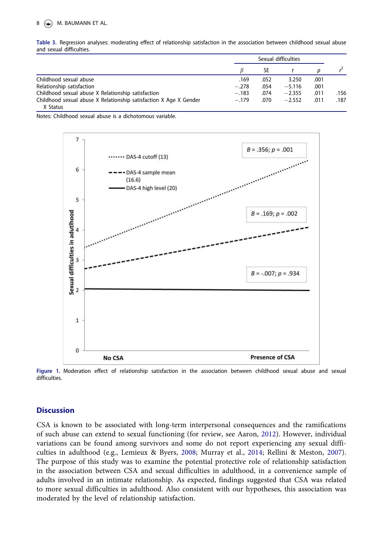<span id="page-8-0"></span>Table 3. Regression analyses: moderating effect of relationship satisfaction in the association between childhood sexual abuse and sexual difficulties.

|                                                                   |         | Sexual difficulties |          |      |      |
|-------------------------------------------------------------------|---------|---------------------|----------|------|------|
|                                                                   |         | <b>SE</b>           |          |      |      |
| Childhood sexual abuse                                            | .169    | .052                | 3.250    | .001 |      |
| Relationship satisfaction                                         | $-.278$ | .054                | $-5.116$ | .001 |      |
| Childhood sexual abuse X Relationship satisfaction                | $-.183$ | .074                | $-2.355$ | .011 | .156 |
| Childhood sexual abuse X Relationship satisfaction X Age X Gender | $-.179$ | .070                | $-2.552$ | .011 | .187 |
| X Status                                                          |         |                     |          |      |      |

Notes: Childhood sexual abuse is a dichotomous variable.



Figure 1. Moderation effect of relationship satisfaction in the association between childhood sexual abuse and sexual difficulties.

#### **Discussion**

CSA is known to be associated with long-term interpersonal consequences and the ramifications of such abuse can extend to sexual functioning (for review, see Aaron, [2012](#page-12-0)). However, individual variations can be found among survivors and some do not report experiencing any sexual difficulties in adulthood (e.g., Lemieux & Byers, [2008](#page-13-0); Murray et al., [2014;](#page-14-0) Rellini & Meston, [2007\)](#page-14-0). The purpose of this study was to examine the potential protective role of relationship satisfaction in the association between CSA and sexual difficulties in adulthood, in a convenience sample of adults involved in an intimate relationship. As expected, findings suggested that CSA was related to more sexual difficulties in adulthood. Also consistent with our hypotheses, this association was moderated by the level of relationship satisfaction.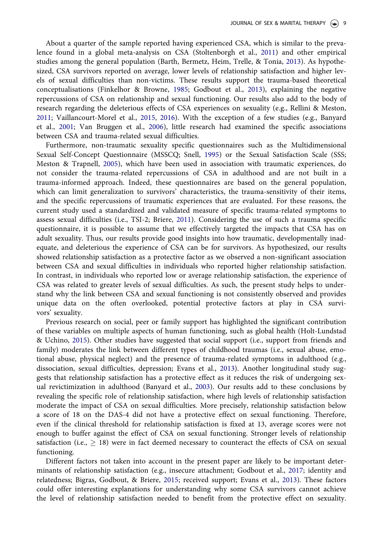<span id="page-9-0"></span>About a quarter of the sample reported having experienced CSA, which is similar to the prevalence found in a global meta-analysis on CSA (Stoltenborgh et al., [2011\)](#page-14-0) and other empirical studies among the general population (Barth, Bermetz, Heim, Trelle, & Tonia, [2013\)](#page-12-0). As hypothesized, CSA survivors reported on average, lower levels of relationship satisfaction and higher levels of sexual difficulties than non-victims. These results support the trauma-based theoretical conceptualisations (Finkelhor & Browne, [1985](#page-13-0); Godbout et al., [2013\)](#page-13-0), explaining the negative repercussions of CSA on relationship and sexual functioning. Our results also add to the body of research regarding the deleterious effects of CSA experiences on sexuality (e.g., Rellini & Meston, [2011](#page-14-0); Vaillancourt-Morel et al., [2015](#page-15-0), [2016\)](#page-14-0). With the exception of a few studies (e.g., Banyard et al., [2001](#page-12-0); Van Bruggen et al., [2006\)](#page-15-0), little research had examined the specific associations between CSA and trauma-related sexual difficulties.

Furthermore, non-traumatic sexuality specific questionnaires such as the Multidimensional Sexual Self-Concept Questionnaire (MSSCQ; Snell, [1995\)](#page-14-0) or the Sexual Satisfaction Scale (SSS; Meston & Trapnell, [2005](#page-14-0)), which have been used in association with traumatic experiences, do not consider the trauma-related repercussions of CSA in adulthood and are not built in a trauma-informed approach. Indeed, these questionnaires are based on the general population, which can limit generalization to survivors' characteristics, the trauma-sensitivity of their items, and the specific repercussions of traumatic experiences that are evaluated. For these reasons, the current study used a standardized and validated measure of specific trauma-related symptoms to assess sexual difficulties (i.e., TSI-2; Briere, [2011](#page-13-0)). Considering the use of such a trauma specific questionnaire, it is possible to assume that we effectively targeted the impacts that CSA has on adult sexuality. Thus, our results provide good insights into how traumatic, developmentally inadequate, and deleterious the experience of CSA can be for survivors. As hypothesized, our results showed relationship satisfaction as a protective factor as we observed a non-significant association between CSA and sexual difficulties in individuals who reported higher relationship satisfaction. In contrast, in individuals who reported low or average relationship satisfaction, the experience of CSA was related to greater levels of sexual difficulties. As such, the present study helps to understand why the link between CSA and sexual functioning is not consistently observed and provides unique data on the often overlooked, potential protective factors at play in CSA survivors' sexuality.

Previous research on social, peer or family support has highlighted the significant contribution of these variables on multiple aspects of human functioning, such as global health (Holt-Lundstad & Uchino, [2015\)](#page-13-0). Other studies have suggested that social support (i.e., support from friends and family) moderates the link between different types of childhood traumas (i.e., sexual abuse, emotional abuse, physical neglect) and the presence of trauma-related symptoms in adulthood (e.g., dissociation, sexual difficulties, depression; Evans et al., [2013](#page-13-0)). Another longitudinal study suggests that relationship satisfaction has a protective effect as it reduces the risk of undergoing sexual revictimization in adulthood (Banyard et al., [2003\)](#page-12-0). Our results add to these conclusions by revealing the specific role of relationship satisfaction, where high levels of relationship satisfaction moderate the impact of CSA on sexual difficulties. More precisely, relationship satisfaction below a score of 18 on the DAS-4 did not have a protective effect on sexual functioning. Therefore, even if the clinical threshold for relationship satisfaction is fixed at 13, average scores were not enough to buffer against the effect of CSA on sexual functioning. Stronger levels of relationship satisfaction (i.e.,  $\geq$  18) were in fact deemed necessary to counteract the effects of CSA on sexual functioning.

Different factors not taken into account in the present paper are likely to be important determinants of relationship satisfaction (e.g., insecure attachment; Godbout et al., [2017;](#page-13-0) identity and relatedness; Bigras, Godbout, & Briere, [2015;](#page-12-0) received support; Evans et al., [2013\)](#page-13-0). These factors could offer interesting explanations for understanding why some CSA survivors cannot achieve the level of relationship satisfaction needed to benefit from the protective effect on sexuality.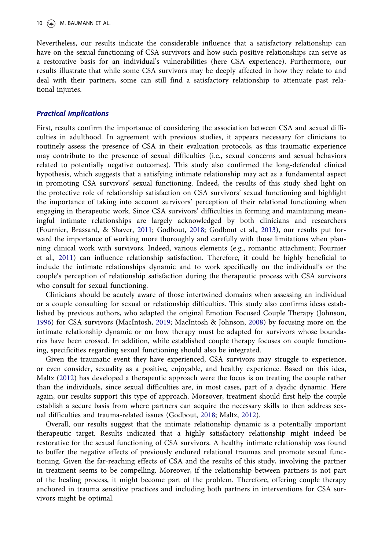<span id="page-10-0"></span>10  $\left(\rightarrow\right)$  M. BAUMANN ET AL.

Nevertheless, our results indicate the considerable influence that a satisfactory relationship can have on the sexual functioning of CSA survivors and how such positive relationships can serve as a restorative basis for an individual's vulnerabilities (here CSA experience). Furthermore, our results illustrate that while some CSA survivors may be deeply affected in how they relate to and deal with their partners, some can still find a satisfactory relationship to attenuate past relational injuries.

#### Practical Implications

First, results confirm the importance of considering the association between CSA and sexual difficulties in adulthood. In agreement with previous studies, it appears necessary for clinicians to routinely assess the presence of CSA in their evaluation protocols, as this traumatic experience may contribute to the presence of sexual difficulties (i.e., sexual concerns and sexual behaviors related to potentially negative outcomes). This study also confirmed the long-defended clinical hypothesis, which suggests that a satisfying intimate relationship may act as a fundamental aspect in promoting CSA survivors' sexual functioning. Indeed, the results of this study shed light on the protective role of relationship satisfaction on CSA survivors' sexual functioning and highlight the importance of taking into account survivors' perception of their relational functioning when engaging in therapeutic work. Since CSA survivors' difficulties in forming and maintaining meaningful intimate relationships are largely acknowledged by both clinicians and researchers (Fournier, Brassard, & Shaver, [2011;](#page-13-0) Godbout, [2018](#page-13-0); Godbout et al., [2013](#page-13-0)), our results put forward the importance of working more thoroughly and carefully with those limitations when planning clinical work with survivors. Indeed, various elements (e.g., romantic attachment; Fournier et al., [2011\)](#page-13-0) can influence relationship satisfaction. Therefore, it could be highly beneficial to include the intimate relationships dynamic and to work specifically on the individual's or the couple's perception of relationship satisfaction during the therapeutic process with CSA survivors who consult for sexual functioning.

Clinicians should be acutely aware of those intertwined domains when assessing an individual or a couple consulting for sexual or relationship difficulties. This study also confirms ideas established by previous authors, who adapted the original Emotion Focused Couple Therapy (Johnson, [1996](#page-13-0)) for CSA survivors (MacIntosh, [2019](#page-13-0); MacIntosh & Johnson, [2008\)](#page-13-0) by focusing more on the intimate relationship dynamic or on how therapy must be adapted for survivors whose boundaries have been crossed. In addition, while established couple therapy focuses on couple functioning, specificities regarding sexual functioning should also be integrated.

Given the traumatic event they have experienced, CSA survivors may struggle to experience, or even consider, sexuality as a positive, enjoyable, and healthy experience. Based on this idea, Maltz ([2012\)](#page-14-0) has developed a therapeutic approach were the focus is on treating the couple rather than the individuals, since sexual difficulties are, in most cases, part of a dyadic dynamic. Here again, our results support this type of approach. Moreover, treatment should first help the couple establish a secure basis from where partners can acquire the necessary skills to then address sexual difficulties and trauma-related issues (Godbout, [2018;](#page-13-0) Maltz, [2012](#page-14-0)).

Overall, our results suggest that the intimate relationship dynamic is a potentially important therapeutic target. Results indicated that a highly satisfactory relationship might indeed be restorative for the sexual functioning of CSA survivors. A healthy intimate relationship was found to buffer the negative effects of previously endured relational traumas and promote sexual functioning. Given the far-reaching effects of CSA and the results of this study, involving the partner in treatment seems to be compelling. Moreover, if the relationship between partners is not part of the healing process, it might become part of the problem. Therefore, offering couple therapy anchored in trauma sensitive practices and including both partners in interventions for CSA survivors might be optimal.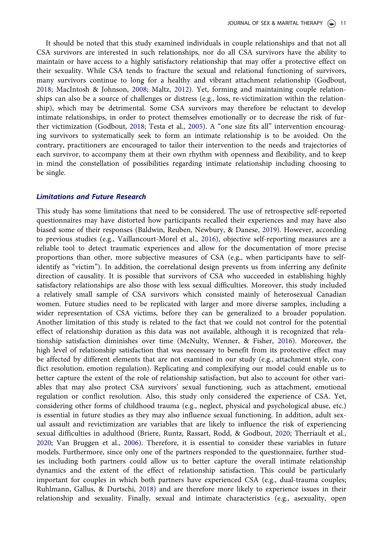<span id="page-11-0"></span>It should be noted that this study examined individuals in couple relationships and that not all CSA survivors are interested in such relationships, nor do all CSA survivors have the ability to maintain or have access to a highly satisfactory relationship that may offer a protective effect on their sexuality. While CSA tends to fracture the sexual and relational functioning of survivors, many survivors continue to long for a healthy and vibrant attachment relationship (Godbout, [2018](#page-13-0); MacIntosh & Johnson, [2008](#page-13-0); Maltz, [2012](#page-14-0)). Yet, forming and maintaining couple relationships can also be a source of challenges or distress (e.g., loss, re-victimization within the relationship), which may be detrimental. Some CSA survivors may therefore be reluctant to develop intimate relationships, in order to protect themselves emotionally or to decrease the risk of further victimization (Godbout, [2018](#page-13-0); Testa et al., [2005](#page-14-0)). A "one size fits all" intervention encouraging survivors to systematically seek to form an intimate relationship is to be avoided. On the contrary, practitioners are encouraged to tailor their intervention to the needs and trajectories of each survivor, to accompany them at their own rhythm with openness and flexibility, and to keep in mind the constellation of possibilities regarding intimate relationship including choosing to be single.

#### Limitations and Future Research

This study has some limitations that need to be considered. The use of retrospective self-reported questionnaires may have distorted how participants recalled their experiences and may have also biased some of their responses (Baldwin, Reuben, Newbury, & Danese, [2019](#page-12-0)). However, according to previous studies (e.g., Vaillancourt-Morel et al., [2016](#page-14-0)), objective self-reporting measures are a reliable tool to detect traumatic experiences and allow for the documentation of more precise proportions than other, more subjective measures of CSA (e.g., when participants have to selfidentify as "victim"). In addition, the correlational design prevents us from inferring any definite direction of causality. It is possible that survivors of CSA who succeeded in establishing highly satisfactory relationships are also those with less sexual difficulties. Moreover, this study included a relatively small sample of CSA survivors which consisted mainly of heterosexual Canadian women. Future studies need to be replicated with larger and more diverse samples, including a wider representation of CSA victims, before they can be generalized to a broader population. Another limitation of this study is related to the fact that we could not control for the potential effect of relationship duration as this data was not available, although it is recognized that relationship satisfaction diminishes over time (McNulty, Wenner, & Fisher, [2016\)](#page-14-0). Moreover, the high level of relationship satisfaction that was necessary to benefit from its protective effect may be affected by different elements that are not examined in our study (e.g., attachment style, conflict resolution, emotion regulation). Replicating and complexifying our model could enable us to better capture the extent of the role of relationship satisfaction, but also to account for other variables that may also protect CSA survivors' sexual functioning, such as attachment, emotional regulation or conflict resolution. Also, this study only considered the experience of CSA. Yet, considering other forms of childhood trauma (e.g., neglect, physical and psychological abuse, etc.) is essential in future studies as they may also influence sexual functioning. In addition, adult sexual assault and revictimization are variables that are likely to influence the risk of experiencing sexual difficulties in adulthood (Briere, Runtz, Rassart, Rodd, & Godbout, [2020;](#page-13-0) Therriault et al., [2020](#page-14-0); Van Bruggen et al., [2006\)](#page-15-0). Therefore, it is essential to consider these variables in future models. Furthermore, since only one of the partners responded to the questionnaire, further studies including both partners could allow us to better capture the overall intimate relationship dynamics and the extent of the effect of relationship satisfaction. This could be particularly important for couples in which both partners have experienced CSA (e.g., dual-trauma couples; Ruhlmann, Gallus, & Durtschi, [2018\)](#page-14-0) and are therefore more likely to experience issues in their relationship and sexuality. Finally, sexual and intimate characteristics (e.g., asexuality, open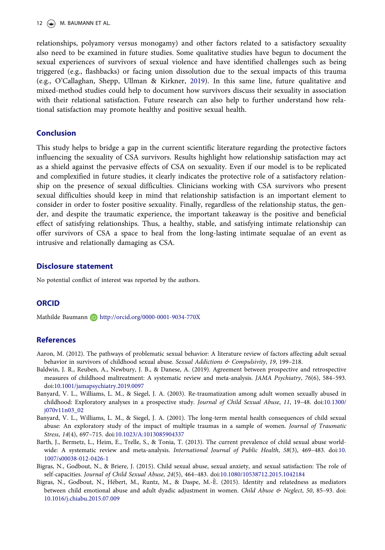<span id="page-12-0"></span>relationships, polyamory versus monogamy) and other factors related to a satisfactory sexuality also need to be examined in future studies. Some qualitative studies have begun to document the sexual experiences of survivors of sexual violence and have identified challenges such as being triggered (e.g., flashbacks) or facing union dissolution due to the sexual impacts of this trauma (e.g., O'Callaghan, Shepp, Ullman & Kirkner, [2019](#page-14-0)). In this same line, future qualitative and mixed-method studies could help to document how survivors discuss their sexuality in association with their relational satisfaction. Future research can also help to further understand how relational satisfaction may promote healthy and positive sexual health.

### Conclusion

This study helps to bridge a gap in the current scientific literature regarding the protective factors influencing the sexuality of CSA survivors. Results highlight how relationship satisfaction may act as a shield against the pervasive effects of CSA on sexuality. Even if our model is to be replicated and complexified in future studies, it clearly indicates the protective role of a satisfactory relationship on the presence of sexual difficulties. Clinicians working with CSA survivors who present sexual difficulties should keep in mind that relationship satisfaction is an important element to consider in order to foster positive sexuality. Finally, regardless of the relationship status, the gender, and despite the traumatic experience, the important takeaway is the positive and beneficial effect of satisfying relationships. Thus, a healthy, stable, and satisfying intimate relationship can offer survivors of CSA a space to heal from the long-lasting intimate sequalae of an event as intrusive and relationally damaging as CSA.

#### Disclosure statement

No potential conflict of interest was reported by the authors.

# **ORCID**

Mathilde Baumann D http://orcid.org/0000-0001-9034-770X

# **References**

- Aaron, M. [\(2012\)](#page-2-0). The pathways of problematic sexual behavior: A literature review of factors affecting adult sexual behavior in survivors of childhood sexual abuse. Sexual Addictions & Compulsivity, 19, 199–218.
- Baldwin, J. R., Reuben, A., Newbury, J. B., & Danese, A. [\(2019\)](#page-11-0). Agreement between prospective and retrospective measures of childhood maltreatment: A systematic review and meta-analysis. JAMA Psychiatry, 76(6), 584–593. doi:[10.1001/jamapsychiatry.2019.0097](https://doi.org/10.1001/jamapsychiatry.2019.0097)
- Banyard, V. L., Williams, L. M., & Siegel, J. A. ([2003](#page-4-0)). Re-traumatization among adult women sexually abused in childhood: Exploratory analyses in a prospective study. Journal of Child Sexual Abuse, 11, 19–48. doi[:10.1300/](https://doi.org/10.1300/j070v11n03_02) [j070v11n03\\_02](https://doi.org/10.1300/j070v11n03_02)
- Banyard, V. L., Williams, L. M., & Siegel, J. A. [\(2001\)](#page-3-0). The long-term mental health consequences of child sexual abuse: An exploratory study of the impact of multiple traumas in a sample of women. Journal of Traumatic Stress, 14(4), 697–715. doi:[10.1023/A:1013085904337](https://doi.org/10.1023/A:1013085904337)
- Barth, J., Bermetz, L., Heim, E., Trelle, S., & Tonia, T. ([2013\)](#page-9-0). The current prevalence of child sexual abuse world-wide: A systematic review and meta-analysis. International Journal of Public Health, 58(3), 469-483. doi[:10.](https://doi.org/10.1007/s00038-012-0426-1) [1007/s00038-012-0426-1](https://doi.org/10.1007/s00038-012-0426-1)
- Bigras, N., Godbout, N., & Briere, J. ([2015\)](#page-4-0). Child sexual abuse, sexual anxiety, and sexual satisfaction: The role of self-capacities. Journal of Child Sexual Abuse, 24(5), 464–483. doi[:10.1080/10538712.2015.1042184](https://doi.org/10.1080/10538712.2015.1042184)
- Bigras, N., Godbout, N., Hebert, M., Runtz, M., & Daspe, M.-E. [\(2015\)](#page-2-0). Identity and relatedness as mediators between child emotional abuse and adult dyadic adjustment in women. Child Abuse & Neglect, 50, 85–93. doi: [10.1016/j.chiabu.2015.07.009](https://doi.org/10.1016/j.chiabu.2015.07.009)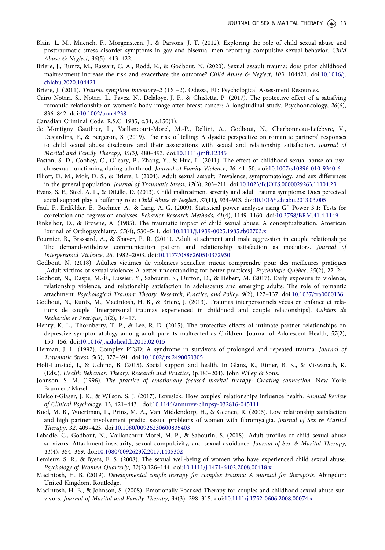- <span id="page-13-0"></span>Blain, L. M., Muench, F., Morgenstern, J., & Parsons, J. T. ([2012\)](#page-2-0). Exploring the role of child sexual abuse and posttraumatic stress disorder symptoms in gay and bisexual men reporting compulsive sexual behavior. Child Abuse & Neglect, 36(5), 413–422.
- Briere, J., Runtz, M., Rassart, C. A., Rodd, K., & Godbout, N. ([2020\)](#page-11-0). Sexual assault trauma: does prior childhood maltreatment increase the risk and exacerbate the outcome? Child Abuse & Neglect, 103, 104421. doi:[10.1016/j.](https://doi.org/10.1016/j.chiabu.2020.104421) [chiabu.2020.104421](https://doi.org/10.1016/j.chiabu.2020.104421)
- Briere, J. ([2011](#page-3-0)). Trauma symptom inventory-2 (TSI-2). Odessa, FL: Psychological Assessment Resources.
- Cairo Notari, S., Notari, L., Favez, N., Delaloye, J. F., & Ghisletta, P. [\(2017\)](#page-3-0). The protective effect of a satisfying romantic relationship on women's body image after breast cancer: A longitudinal study. Psychooncology, 26(6), 836–842. doi:[10.1002/pon.4238](https://doi.org/10.1002/pon.4238)
- Canadian Criminal Code, R.S.C. [1985](#page-5-0), c.34, s.150(1).
- de Montigny Gauthier, L., Vaillancourt-Morel, M.-P., Rellini, A., Godbout, N., Charbonneau-Lefebvre, V., Desjardins, F., & Bergeron, S. [\(2019\)](#page-2-0). The risk of telling: A dyadic perspective on romantic partners' responses to child sexual abuse disclosure and their associations with sexual and relationship satisfaction. Journal of Marital and Family Therapy, 45(3), 480–493. doi[:10.1111/jmft.12345](https://doi.org/10.1111/jmft.12345)
- Easton, S. D., Coohey, C., O'leary, P., Zhang, Y., & Hua, L. ([2011](#page-2-0)). The effect of childhood sexual abuse on psychosexual functioning during adulthood. Journal of Family Violence, 26, 41–50. doi[:10.1007/s10896-010-9340-6](https://doi.org/10.1007/s10896-010-9340-6)
- Elliott, D. M., Mok, D. S., & Briere, J. ([2004\)](#page-3-0). Adult sexual assault: Prevalence, symptomatology, and sex differences in the general population. Journal of Traumatic Stress, 17(3), 203–211. doi:[10.1023/B:JOTS.0000029263.11104.23](https://doi.org/10.1023/B:JOTS.0000029263.11104.23)
- Evans, S. E., Steel, A. L., & DiLillo, D. ([2013](#page-4-0)). Child maltreatment severity and adult trauma symptoms: Does perceived social support play a buffering role? Child Abuse & Neglect, 37(11), 934-943. doi[:10.1016/j.chiabu.2013.03.005](https://doi.org/10.1016/j.chiabu.2013.03.005)
- Faul, F., Erdfelder, E., Buchner, A., & Lang, A. G. [\(2009\)](#page-5-0). Statistical power analyses using G\* Power 3.1: Tests for correlation and regression analyses. Behavior Research Methods, 41(4), 1149–1160. doi[:10.3758/BRM.41.4.1149](https://doi.org/10.3758/BRM.41.4.1149)
- Finkelhor, D., & Browne, A. ([1985](#page-9-0)). The traumatic impact of child sexual abuse: A conceptualization. American Journal of Orthopsychiatry, 55(4), 530–541. doi[:10.1111/j.1939-0025.1985.tb02703.x](https://doi.org/10.1111/j.1939-0025.1985.tb02703.x)
- Fournier, B., Brassard, A., & Shaver, P. R. [\(2011\)](#page-10-0). Adult attachment and male aggression in couple relationships: The demand-withdraw communication pattern and relationship satisfaction as mediators. Journal of Interpersonal Violence, 26, 1982–2003. doi:[10.1177/0886260510372930](https://doi.org/10.1177/0886260510372930)
- Godbout, N. [\(2018\)](#page-10-0). Adultes victimes de violences sexuelles: mieux comprendre pour des meilleures pratiques [Adult victims of sexual violence: A better understanding for better practices]. Psychologie Quebec, 35(2), 22–24.
- Godbout, N., Daspe, M.-È., Lussier, Y., Sabourin, S., Dutton, D., & Hébert, M. ([2017](#page-9-0)). Early exposure to violence, relationship violence, and relationship satisfaction in adolescents and emerging adults: The role of romantic attachment. Psychological Trauma: Theory, Research, Practice, and Policy, 9(2), 127–137. doi:[10.1037/tra0000136](https://doi.org/10.1037/tra0000136)
- Godbout, N., Runtz, M., MacIntosh, H. B., & Briere, J. [\(2013\)](#page-2-0). Traumas interpersonnels vécus en enfance et relations de couple [Interpersonal traumas experienced in childhood and couple relationships]. Cahiers de Recherche et Pratique, 3(2), 14–17.
- Henry, K. L., Thornberry, T. P., & Lee, R. D. [\(2015](#page-3-0)). The protective effects of intimate partner relationships on depressive symptomatology among adult parents maltreated as Children. Journal of Adolescent Health, 57(2), 150–156. doi:[10.1016/j.jadohealth.2015.02.015](https://doi.org/10.1016/j.jadohealth.2015.02.015)
- Herman, J. L. ([1992](#page-1-0)). Complex PTSD: A syndrome in survivors of prolonged and repeated trauma. Journal of Traumatic Stress, 5(3), 377–391. doi:[10.1002/jts.2490050305](https://doi.org/10.1002/jts.2490050305)
- Holt-Lunstad, J., & Uchino, B. [\(2015\)](#page-9-0). Social support and health. In Glanz, K., Rimer, B. K., & Viswanath, K. (Eds.), Health Behavior: Theory, Research and Practice, (p.183-204). John Wiley & Sons.
- Johnson, S. M. ([1996](#page-10-0)). The practice of emotionally focused marital therapy: Creating connection. New York: Brunner ⁄ Mazel.
- Kielcolt-Glaser, J. K., & Wilson, S. J. [\(2017\)](#page-3-0). Lovesick: How couples' relationships influence health. Annual Review of Clinical Psychology, 13, 421–443. doi:[10.1146/annurev-clinpsy-032816-045111](https://doi.org/10.1146/annurev-clinpsy-032816-045111)
- Kool, M. B., Woertman, L., Prins, M. A., Van Middendorp, H., & Geenen, R. ([2006](#page-3-0)). Low relationship satisfaction and high partner involvement predict sexual problems of women with fibromyalgia. Journal of Sex & Marital Therapy, 32, 409–423. doi[:10.1080/00926230600835403](https://doi.org/10.1080/00926230600835403)
- Labadie, C., Godbout, N., Vaillancourt-Morel, M.-P., & Sabourin, S. [\(2018](#page-2-0)). Adult profiles of child sexual abuse survivors: Attachment insecurity, sexual compulsivity, and sexual avoidance. Journal of Sex & Marital Therapy, 44(4), 354–369. doi[:10.1080/0092623X.2017.1405302](https://doi.org/10.1080/0092623X.2017.1405302)
- Lemieux, S. R., & Byers, E. S. ([2008](#page-2-0)). The sexual well-being of women who have experienced child sexual abuse. Psychology of Women Quarterly, 32(2),126–144. doi:[10.1111/j.1471-6402.2008.00418.x](https://doi.org/10.1111/j.1471-6402.2008.00418.x)
- MacIntosh, H. B. ([2019\)](#page-10-0). Developmental couple therapy for complex trauma: A manual for therapists. Abingdon: United Kingdom, Routledge.
- MacIntosh, H. B., & Johnson, S. ([2008](#page-2-0)). Emotionally Focused Therapy for couples and childhood sexual abuse survivors. Journal of Marital and Family Therapy, 34(3), 298–315. doi:[10.1111/j.1752-0606.2008.00074.x](https://doi.org/10.1111/j.1752-0606.2008.00074.x)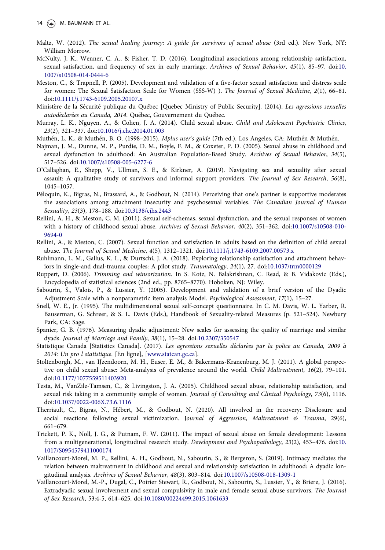- <span id="page-14-0"></span>Maltz, W. ([2012](#page-10-0)). The sexual healing journey: A guide for survivors of sexual abuse (3rd ed.). New York, NY: William Morrow.
- McNulty, J. K., Wenner, C. A., & Fisher, T. D. [\(2016\)](#page-11-0). Longitudinal associations among relationship satisfaction, sexual satisfaction, and frequency of sex in early marriage. Archives of Sexual Behavior, 45(1), 85–97. doi[:10.](https://doi.org/10.1007/s10508-014-0444-6) [1007/s10508-014-0444-6](https://doi.org/10.1007/s10508-014-0444-6)
- Meston, C., & Trapnell, P. ([2005\)](#page-9-0). Development and validation of a five-factor sexual satisfaction and distress scale for women: The Sexual Satisfaction Scale for Women (SSS-W) ). The Journal of Sexual Medicine, 2(1), 66-81. doi:[10.1111/j.1743-6109.2005.20107.x](https://doi.org/10.1111/j.1743-6109.2005.20107.x)
- Ministère de la Sécurité publique du Québec [Quebec Ministry of Public Security]. (2014). Les agressions sexuelles autodéclarées au Canada, 2014. Québec, Gouvernement du Québec.
- Murray, L. K., Nguyen, A., & Cohen, J. A. [\(2014](#page-1-0)). Child sexual abuse. Child and Adolescent Psychiatric Clinics, 23(2), 321–337. doi[:10.1016/j.chc.2014.01.003](https://doi.org/10.1016/j.chc.2014.01.003)
- Muthén, L. K., & Muthén, B. O. ([1998](#page-6-0)-2015). Mplus user's guide (7th ed.). Los Angeles, CA: Muthén & Muthén.
- Najman, J. M., Dunne, M. P., Purdie, D. M., Boyle, F. M., & Coxeter, P. D. [\(2005\)](#page-2-0). Sexual abuse in childhood and sexual dysfunction in adulthood: An Australian Population-Based Study. Archives of Sexual Behavior, 34(5), 517–526. doi:[10.1007/s10508-005-6277-6](https://doi.org/10.1007/s10508-005-6277-6)
- O'Callaghan, E., Shepp, V., Ullman, S. E., & Kirkner, A. [\(2019\)](#page-12-0). Navigating sex and sexuality after sexual assault: A qualitative study of survivors and informal support providers. The Journal of Sex Research, 56(8), 1045–1057.
- Peloquin, K., Bigras, N., Brassard, A., & Godbout, N. [\(2014\)](#page-4-0). Perceiving that one's partner is supportive moderates the associations among attachment insecurity and psychosexual variables. The Canadian Journal of Human Sexuality, 23(3), 178–188. doi[:10.3138/cjhs.2443](https://doi.org/10.3138/cjhs.2443)
- Rellini, A. H., & Meston, C. M. ([2011\)](#page-9-0). Sexual self-schemas, sexual dysfunction, and the sexual responses of women with a history of childhood sexual abuse. Archives of Sexual Behavior, 40(2), 351–362. doi[:10.1007/s10508-010-](https://doi.org/10.1007/s10508-010-9694-0) [9694-0](https://doi.org/10.1007/s10508-010-9694-0)
- Rellini, A., & Meston, C. [\(2007\)](#page-2-0). Sexual function and satisfaction in adults based on the definition of child sexual abuse. The Journal of Sexual Medicine, 4(5), 1312–1321. doi[:10.1111/j.1743-6109.2007.00573.x](https://doi.org/10.1111/j.1743-6109.2007.00573.x)
- Ruhlmann, L. M., Gallus, K. L., & Durtschi, J. A. ([2018\)](#page-11-0). Exploring relationship satisfaction and attachment behaviors in single-and dual-trauma couples: A pilot study. Traumatology, 24(1), 27. doi:[10.1037/trm0000129](https://doi.org/10.1037/trm0000129)
- Ruppert, D. ([2006](#page-6-0)). Trimming and winsorization. In S. Kotz, N. Balakrishnan, C. Read, & B. Vidakovic (Eds.), Encyclopedia of statistical sciences (2nd ed., pp. 8765–8770). Hoboken, NJ: Wiley.
- Sabourin, S., Valois, P., & Lussier, Y. [\(2005\)](#page-3-0). Development and validation of a brief version of the Dyadic Adjustment Scale with a nonparametric item analysis Model. Psychological Assessment, 17(1), 15–27.
- Snell, W. E., Jr. [\(1995](#page-9-0)). The multidimensional sexual self-concept questionnaire. In C. M. Davis, W. L. Yarber, R. Bauserman, G. Schreer, & S. L. Davis (Eds.), Handbook of Sexuality-related Measures (p. 521–524). Newbury Park, CA: Sage.
- Spanier, G. B. ([1976](#page-3-0)). Measuring dyadic adjustment: New scales for assessing the quality of marriage and similar dyads. Journal of Marriage and Family, 38(1), 15–28. doi[:10.2307/350547](https://doi.org/10.2307/350547)
- Statistique Canada [Statistics Canada]. (2017). Les agressions sexuelles déclarées par la police au Canada, 2009 à 2014: Un pro l statistique. [En ligne], [[www.statcan.gc.ca](http://www.statcan.gc.ca)].
- Stoltenborgh, M., van IJzendoorn, M. H., Euser, E. M., & Bakermans-Kranenburg, M. J. ([2011](#page-1-0)). A global perspective on child sexual abuse: Meta-analysis of prevalence around the world. Child Maltreatment, 16(2), 79–101. doi:[10.1177/1077559511403920](https://doi.org/10.1177/1077559511403920)
- Testa, M., VanZile-Tamsen, C., & Livingston, J. A. [\(2005\)](#page-2-0). Childhood sexual abuse, relationship satisfaction, and sexual risk taking in a community sample of women. Journal of Consulting and Clinical Psychology, 73(6), 1116. doi:[10.1037/0022-006X.73.6.1116](https://doi.org/10.1037/0022-006X.73.6.1116)
- Therriault, C., Bigras, N., Hebert, M., & Godbout, N. ([2020\)](#page-3-0). All involved in the recovery: Disclosure and social reactions following sexual victimization. Journal of Aggression, Maltreatment & Trauma, 29(6), 661–679.
- Trickett, P. K., Noll, J. G., & Putnam, F. W. [\(2011\)](#page-2-0). The impact of sexual abuse on female development: Lessons from a multigenerational, longitudinal research study. Development and Psychopathology, 23(2), 453–476. doi[:10.](https://doi.org/10.1017/S0954579411000174) [1017/S0954579411000174](https://doi.org/10.1017/S0954579411000174)
- Vaillancourt-Morel, M. P., Rellini, A. H., Godbout, N., Sabourin, S., & Bergeron, S. ([2019](#page-2-0)). Intimacy mediates the relation between maltreatment in childhood and sexual and relationship satisfaction in adulthood: A dyadic longitudinal analysis. Archives of Sexual Behavior, 48(3), 803–814. doi:[10.1007/s10508-018-1309-1](https://doi.org/10.1007/s10508-018-1309-1)
- Vaillancourt-Morel, M.-P., Dugal, C., Poirier Stewart, R., Godbout, N., Sabourin, S., Lussier, Y., & Briere, J. [\(2016](#page-1-0)). Extradyadic sexual involvement and sexual compulsivity in male and female sexual abuse survivors. The Journal of Sex Research, 53:4-5, 614–625. doi[:10.1080/00224499.2015.1061633](https://doi.org/10.1080/00224499.2015.1061633)